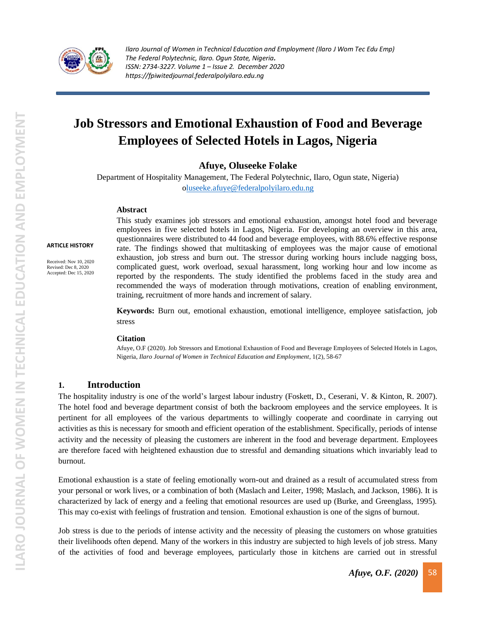

# **Job Stressors and Emotional Exhaustion of Food and Beverage Employees of Selected Hotels in Lagos, Nigeria**

**Afuye, Oluseeke Folake**

Department of Hospitality Management, The Federal Polytechnic, Ilaro, Ogun state, Nigeria) [oluseeke.afuye@federalpolyilaro.edu.ng](mailto:luseeke.afuye@federalpolyilaro.edu.ng)

### **Abstract**

#### **ARTICLE HISTORY**

Received: Nov 10, 2020 Revised: Dec 8, 2020 Accepted: Dec 15, 2020

This study examines job stressors and emotional exhaustion, amongst hotel food and beverage employees in five selected hotels in Lagos, Nigeria. For developing an overview in this area, questionnaires were distributed to 44 food and beverage employees, with 88.6% effective response rate. The findings showed that multitasking of employees was the major cause of emotional exhaustion, job stress and burn out. The stressor during working hours include nagging boss, complicated guest, work overload, sexual harassment, long working hour and low income as reported by the respondents. The study identified the problems faced in the study area and recommended the ways of moderation through motivations, creation of enabling environment, training, recruitment of more hands and increment of salary.

**Keywords:** Burn out, emotional exhaustion, emotional intelligence, employee satisfaction, job stress

#### **Citation**

Afuye, O.F (2020). Job Stressors and Emotional Exhaustion of Food and Beverage Employees of Selected Hotels in Lagos, Nigeria, *Ilaro Journal of Women in Technical Education and Employment*, 1(2), 58-67

## **1. Introduction**

The hospitality industry is one of the world's largest labour industry (Foskett, D., Ceserani, V. & Kinton, R. 2007). The hotel food and beverage department consist of both the backroom employees and the service employees. It is pertinent for all employees of the various departments to willingly cooperate and coordinate in carrying out activities as this is necessary for smooth and efficient operation of the establishment. Specifically, periods of intense activity and the necessity of pleasing the customers are inherent in the food and beverage department. Employees are therefore faced with heightened exhaustion due to stressful and demanding situations which invariably lead to burnout.

Emotional exhaustion is a state of feeling emotionally worn-out and drained as a result of accumulated stress from your personal or work lives, or a combination of both (Maslach and Leiter, 1998; Maslach, and Jackson, 1986). It is characterized by lack of energy and a feeling that emotional resources are used up (Burke, and Greenglass, 1995). This may co-exist with feelings of frustration and tension. Emotional exhaustion is one of the signs of burnout.

Job stress is due to the periods of intense activity and the necessity of pleasing the customers on whose gratuities their livelihoods often depend. Many of the workers in this industry are subjected to high levels of job stress. Many of the activities of food and beverage employees, particularly those in kitchens are carried out in stressful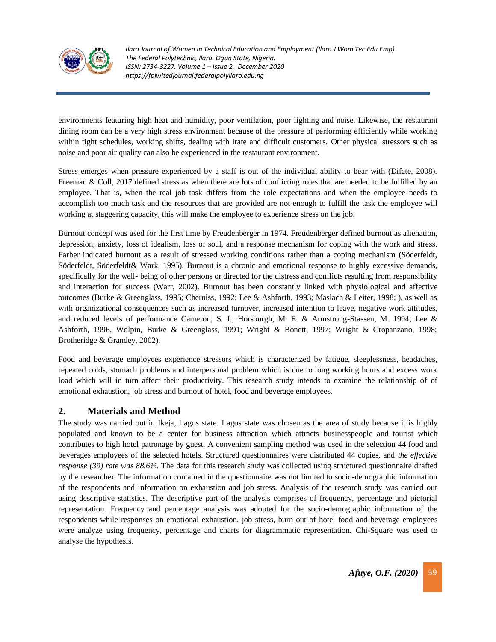

environments featuring high heat and humidity, poor ventilation, poor lighting and noise. Likewise, the restaurant dining room can be a very high stress environment because of the pressure of performing efficiently while working within tight schedules, working shifts, dealing with irate and difficult customers. Other physical stressors such as noise and poor air quality can also be experienced in the restaurant environment.

Stress emerges when pressure experienced by a staff is out of the individual ability to bear with (Difate, 2008). Freeman & Coll, 2017 defined stress as when there are lots of conflicting roles that are needed to be fulfilled by an employee. That is, when the real job task differs from the role expectations and when the employee needs to accomplish too much task and the resources that are provided are not enough to fulfill the task the employee will working at staggering capacity, this will make the employee to experience stress on the job.

Burnout concept was used for the first time by Freudenberger in 1974. Freudenberger defined burnout as alienation, depression, anxiety, loss of idealism, loss of soul, and a response mechanism for coping with the work and stress. Farber indicated burnout as a result of stressed working conditions rather than a coping mechanism (Söderfeldt, Söderfeldt, Söderfeldt& Wark, 1995). Burnout is a chronic and emotional response to highly excessive demands, specifically for the well- being of other persons or directed for the distress and conflicts resulting from responsibility and interaction for success (Warr, 2002). Burnout has been constantly linked with physiological and affective outcomes (Burke & Greenglass, 1995; Cherniss, 1992; Lee & Ashforth, 1993; Maslach & Leiter, 1998; ), as well as with organizational consequences such as increased turnover, increased intention to leave, negative work attitudes, and reduced levels of performance Cameron, S. J., Horsburgh, M. E. & Armstrong-Stassen, M. 1994; Lee & Ashforth, 1996, Wolpin, Burke & Greenglass, 1991; Wright & Bonett, 1997; Wright & Cropanzano, 1998; Brotheridge & Grandey, 2002).

Food and beverage employees experience stressors which is characterized by fatigue, sleeplessness, headaches, repeated colds, stomach problems and interpersonal problem which is due to long working hours and excess work load which will in turn affect their productivity. This research study intends to examine the relationship of of emotional exhaustion, job stress and burnout of hotel, food and beverage employees.

## **2. Materials and Method**

The study was carried out in Ikeja, Lagos state. Lagos state was chosen as the area of study because it is highly populated and known to be a center for business attraction which attracts businesspeople and tourist which contributes to high hotel patronage by guest. A convenient sampling method was used in the selection 44 food and beverages employees of the selected hotels. Structured questionnaires were distributed 44 copies, and *the effective response (39) rate was 88.6%.* The data for this research study was collected using structured questionnaire drafted by the researcher. The information contained in the questionnaire was not limited to socio-demographic information of the respondents and information on exhaustion and job stress. Analysis of the research study was carried out using descriptive statistics. The descriptive part of the analysis comprises of frequency, percentage and pictorial representation. Frequency and percentage analysis was adopted for the socio-demographic information of the respondents while responses on emotional exhaustion, job stress, burn out of hotel food and beverage employees were analyze using frequency, percentage and charts for diagrammatic representation. Chi-Square was used to analyse the hypothesis.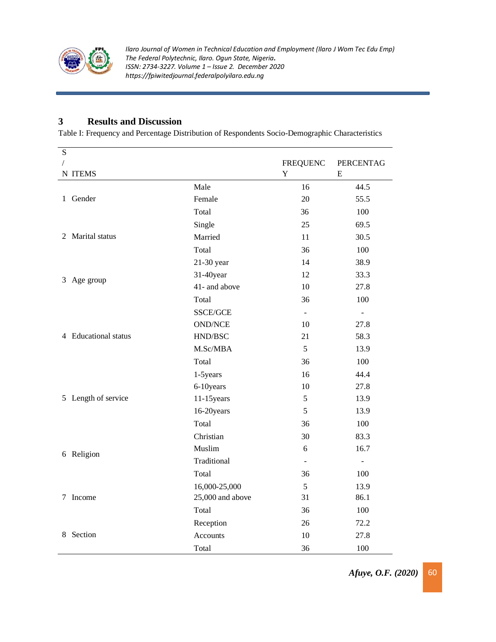

# **3 Results and Discussion**

Table I: Frequency and Percentage Distribution of Respondents Socio-Demographic Characteristics

| S                               |                  |                 |                          |
|---------------------------------|------------------|-----------------|--------------------------|
| 7                               |                  | <b>FREQUENC</b> | <b>PERCENTAG</b>         |
| N ITEMS                         |                  | Y               | E                        |
|                                 | Male             | 16              | 44.5                     |
| 1 Gender<br>Marital status<br>2 | Female           | 20              | 55.5                     |
|                                 | Total            | 36              | 100                      |
|                                 | Single           | 25              | 69.5                     |
|                                 | Married          | 11              | 30.5                     |
|                                 | Total            | 36              | 100                      |
| 3 Age group                     | 21-30 year       | 14              | 38.9                     |
|                                 | 31-40year        | 12              | 33.3                     |
|                                 | 41- and above    | 10              | 27.8                     |
|                                 | Total            | 36              | 100                      |
| 4 Educational status            | SSCE/GCE         | $\blacksquare$  | $\overline{\phantom{a}}$ |
|                                 | <b>OND/NCE</b>   | 10              | 27.8                     |
|                                 | HND/BSC          | 21              | 58.3                     |
|                                 | M.Sc/MBA         | 5               | 13.9                     |
|                                 | Total            | 36              | 100                      |
| 5 Length of service             | 1-5years         | 16              | 44.4                     |
|                                 | 6-10years        | 10              | 27.8                     |
|                                 | $11-15$ years    | 5               | 13.9                     |
|                                 | 16-20years       | 5               | 13.9                     |
|                                 | Total            | 36              | 100                      |
| 6 Religion                      | Christian        | 30              | 83.3                     |
|                                 | Muslim           | 6               | 16.7                     |
|                                 | Traditional      | $\overline{a}$  | $\blacksquare$           |
|                                 | Total            | 36              | 100                      |
| Income<br>7                     | 16,000-25,000    | 5               | 13.9                     |
|                                 | 25,000 and above | 31              | 86.1                     |
|                                 | Total            | 36              | 100                      |
| Section<br>8                    | Reception        | 26              | 72.2                     |
|                                 | Accounts         | 10              | 27.8                     |
|                                 | Total            | 36              | 100                      |

*Afuye, O.F.* (2020) 60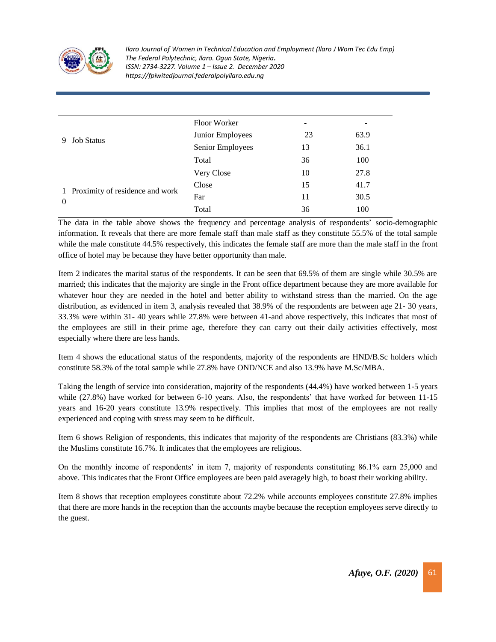

| 9 Job Status                                                      |                  | <b>Floor Worker</b> | -    | -    |
|-------------------------------------------------------------------|------------------|---------------------|------|------|
|                                                                   | Junior Employees | 23                  | 63.9 |      |
|                                                                   |                  | Senior Employees    | 13   | 36.1 |
|                                                                   |                  | Total               | 36   | 100  |
| Proximity of residence and work<br>$\mathbf{1}$<br>$\overline{0}$ | Very Close       | 10                  | 27.8 |      |
|                                                                   | Close            | 15                  | 41.7 |      |
|                                                                   | Far              | 11                  | 30.5 |      |
|                                                                   | Total            | 36                  | 100  |      |
|                                                                   |                  |                     |      |      |

The data in the table above shows the frequency and percentage analysis of respondents' socio-demographic information. It reveals that there are more female staff than male staff as they constitute 55.5% of the total sample while the male constitute 44.5% respectively, this indicates the female staff are more than the male staff in the front office of hotel may be because they have better opportunity than male.

Item 2 indicates the marital status of the respondents. It can be seen that 69.5% of them are single while 30.5% are married; this indicates that the majority are single in the Front office department because they are more available for whatever hour they are needed in the hotel and better ability to withstand stress than the married. On the age distribution, as evidenced in item 3, analysis revealed that 38.9% of the respondents are between age 21- 30 years, 33.3% were within 31- 40 years while 27.8% were between 41-and above respectively, this indicates that most of the employees are still in their prime age, therefore they can carry out their daily activities effectively, most especially where there are less hands.

Item 4 shows the educational status of the respondents, majority of the respondents are HND/B.Sc holders which constitute 58.3% of the total sample while 27.8% have OND/NCE and also 13.9% have M.Sc/MBA.

Taking the length of service into consideration, majority of the respondents (44.4%) have worked between 1-5 years while (27.8%) have worked for between 6-10 years. Also, the respondents' that have worked for between 11-15 years and 16-20 years constitute 13.9% respectively. This implies that most of the employees are not really experienced and coping with stress may seem to be difficult.

Item 6 shows Religion of respondents, this indicates that majority of the respondents are Christians (83.3%) while the Muslims constitute 16.7%. It indicates that the employees are religious.

On the monthly income of respondents' in item 7, majority of respondents constituting 86.1% earn 25,000 and above. This indicates that the Front Office employees are been paid averagely high, to boast their working ability.

Item 8 shows that reception employees constitute about 72.2% while accounts employees constitute 27.8% implies that there are more hands in the reception than the accounts maybe because the reception employees serve directly to the guest.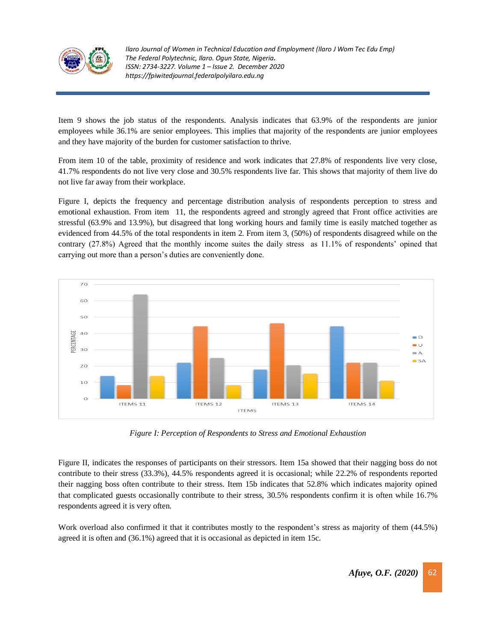

Item 9 shows the job status of the respondents. Analysis indicates that 63.9% of the respondents are junior employees while 36.1% are senior employees. This implies that majority of the respondents are junior employees and they have majority of the burden for customer satisfaction to thrive.

From item 10 of the table, proximity of residence and work indicates that 27.8% of respondents live very close, 41.7% respondents do not live very close and 30.5% respondents live far. This shows that majority of them live do not live far away from their workplace.

Figure I, depicts the frequency and percentage distribution analysis of respondents perception to stress and emotional exhaustion. From item 11, the respondents agreed and strongly agreed that Front office activities are stressful (63.9% and 13.9%), but disagreed that long working hours and family time is easily matched together as evidenced from 44.5% of the total respondents in item 2. From item 3, (50%) of respondents disagreed while on the contrary (27.8%) Agreed that the monthly income suites the daily stress as 11.1% of respondents' opined that carrying out more than a person's duties are conveniently done.



*Figure I: Perception of Respondents to Stress and Emotional Exhaustion*

Figure II, indicates the responses of participants on their stressors. Item 15a showed that their nagging boss do not contribute to their stress (33.3%), 44.5% respondents agreed it is occasional; while 22.2% of respondents reported their nagging boss often contribute to their stress. Item 15b indicates that 52.8% which indicates majority opined that complicated guests occasionally contribute to their stress, 30.5% respondents confirm it is often while 16.7% respondents agreed it is very often.

Work overload also confirmed it that it contributes mostly to the respondent's stress as majority of them (44.5%) agreed it is often and (36.1%) agreed that it is occasional as depicted in item 15c.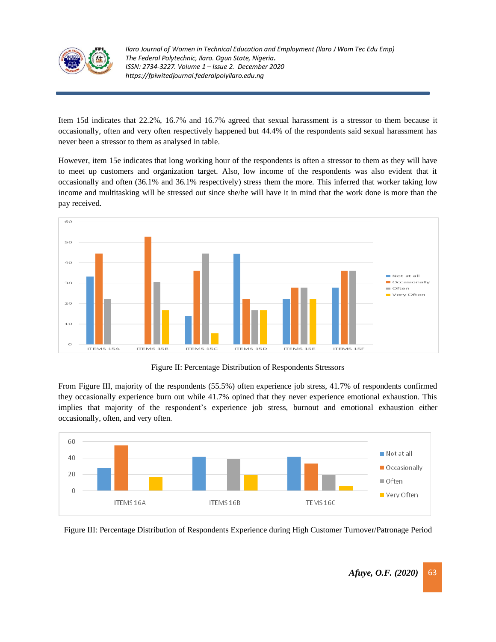

Item 15d indicates that 22.2%, 16.7% and 16.7% agreed that sexual harassment is a stressor to them because it occasionally, often and very often respectively happened but 44.4% of the respondents said sexual harassment has never been a stressor to them as analysed in table.

However, item 15e indicates that long working hour of the respondents is often a stressor to them as they will have to meet up customers and organization target. Also, low income of the respondents was also evident that it occasionally and often (36.1% and 36.1% respectively) stress them the more. This inferred that worker taking low income and multitasking will be stressed out since she/he will have it in mind that the work done is more than the pay received.



Figure II: Percentage Distribution of Respondents Stressors

From Figure III, majority of the respondents (55.5%) often experience job stress, 41.7% of respondents confirmed they occasionally experience burn out while 41.7% opined that they never experience emotional exhaustion. This implies that majority of the respondent's experience job stress, burnout and emotional exhaustion either occasionally, often, and very often.



Figure III: Percentage Distribution of Respondents Experience during High Customer Turnover/Patronage Period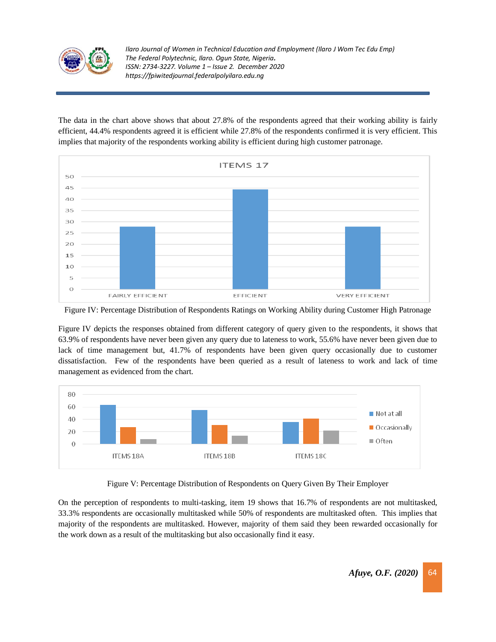

The data in the chart above shows that about 27.8% of the respondents agreed that their working ability is fairly efficient, 44.4% respondents agreed it is efficient while 27.8% of the respondents confirmed it is very efficient. This implies that majority of the respondents working ability is efficient during high customer patronage.



Figure IV: Percentage Distribution of Respondents Ratings on Working Ability during Customer High Patronage

Figure IV depicts the responses obtained from different category of query given to the respondents, it shows that 63.9% of respondents have never been given any query due to lateness to work, 55.6% have never been given due to lack of time management but, 41.7% of respondents have been given query occasionally due to customer dissatisfaction. Few of the respondents have been queried as a result of lateness to work and lack of time management as evidenced from the chart.



Figure V: Percentage Distribution of Respondents on Query Given By Their Employer

On the perception of respondents to multi-tasking, item 19 shows that 16.7% of respondents are not multitasked, 33.3% respondents are occasionally multitasked while 50% of respondents are multitasked often. This implies that majority of the respondents are multitasked. However, majority of them said they been rewarded occasionally for the work down as a result of the multitasking but also occasionally find it easy.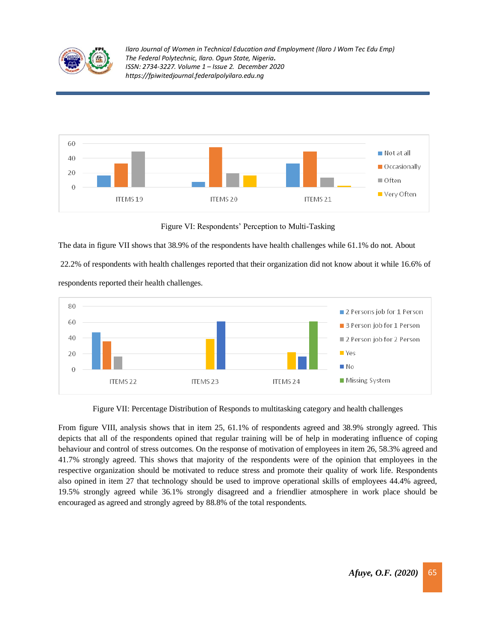



Figure VI: Respondents' Perception to Multi-Tasking

The data in figure VII shows that 38.9% of the respondents have health challenges while 61.1% do not. About

22.2% of respondents with health challenges reported that their organization did not know about it while 16.6% of respondents reported their health challenges.



Figure VII: Percentage Distribution of Responds to multitasking category and health challenges

From figure VIII, analysis shows that in item 25, 61.1% of respondents agreed and 38.9% strongly agreed. This depicts that all of the respondents opined that regular training will be of help in moderating influence of coping behaviour and control of stress outcomes. On the response of motivation of employees in item 26, 58.3% agreed and 41.7% strongly agreed. This shows that majority of the respondents were of the opinion that employees in the respective organization should be motivated to reduce stress and promote their quality of work life. Respondents also opined in item 27 that technology should be used to improve operational skills of employees 44.4% agreed, 19.5% strongly agreed while 36.1% strongly disagreed and a friendlier atmosphere in work place should be encouraged as agreed and strongly agreed by 88.8% of the total respondents.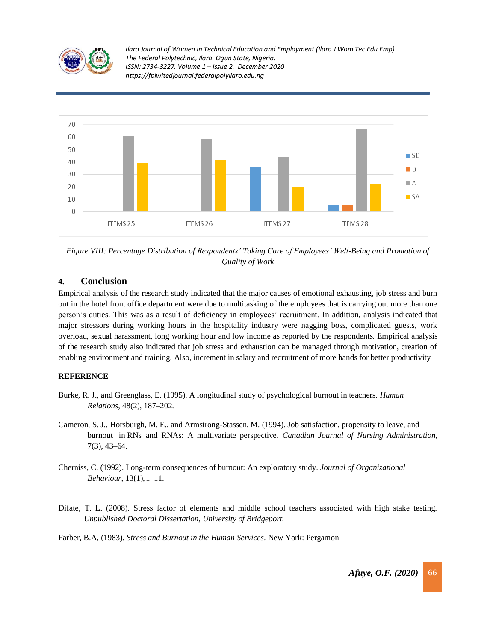



*Figure VIII: Percentage Distribution of Respondents' Taking Care of Employees' Well-Being and Promotion of Quality of Work*

## **4. Conclusion**

Empirical analysis of the research study indicated that the major causes of emotional exhausting, job stress and burn out in the hotel front office department were due to multitasking of the employees that is carrying out more than one person's duties. This was as a result of deficiency in employees' recruitment. In addition, analysis indicated that major stressors during working hours in the hospitality industry were nagging boss, complicated guests, work overload, sexual harassment, long working hour and low income as reported by the respondents. Empirical analysis of the research study also indicated that job stress and exhaustion can be managed through motivation, creation of enabling environment and training. Also, increment in salary and recruitment of more hands for better productivity

## **REFERENCE**

- Burke, R. J., and Greenglass, E. (1995). A longitudinal study of psychological burnout in teachers. *Human Relations*, 48(2), 187–202.
- Cameron, S. J., Horsburgh, M. E., and Armstrong-Stassen, M. (1994). Job satisfaction, propensity to leave, and burnout in RNs and RNAs: A multivariate perspective. *Canadian Journal of Nursing Administration*, 7(3), 43–64.
- Cherniss, C. (1992). Long-term consequences of burnout: An exploratory study. *Journal of Organizational Behaviour,* 13(1),1–11.
- Difate, T. L. (2008). Stress factor of elements and middle school teachers associated with high stake testing. *Unpublished Doctoral Dissertation, University of Bridgeport.*

Farber, B.A, (1983). *Stress and Burnout in the Human Services*. New York: Pergamon